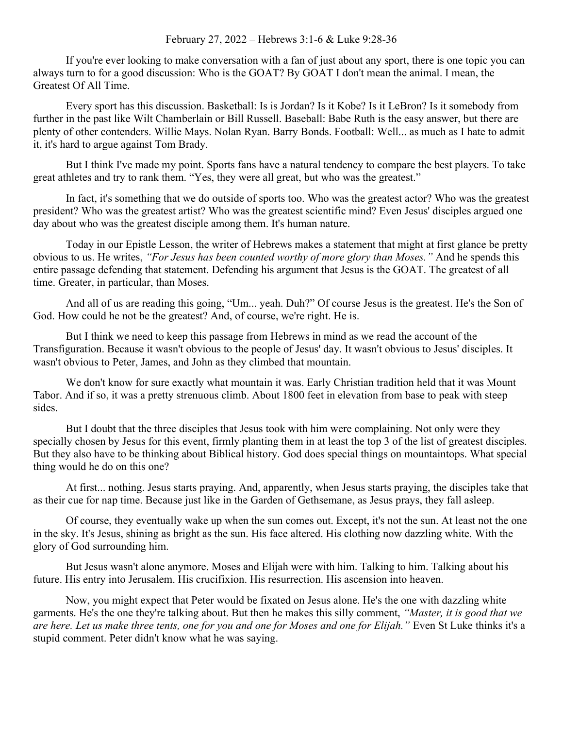## February 27, 2022 – Hebrews 3:1-6 & Luke 9:28-36

If you're ever looking to make conversation with a fan of just about any sport, there is one topic you can always turn to for a good discussion: Who is the GOAT? By GOAT I don't mean the animal. I mean, the Greatest Of All Time.

Every sport has this discussion. Basketball: Is is Jordan? Is it Kobe? Is it LeBron? Is it somebody from further in the past like Wilt Chamberlain or Bill Russell. Baseball: Babe Ruth is the easy answer, but there are plenty of other contenders. Willie Mays. Nolan Ryan. Barry Bonds. Football: Well... as much as I hate to admit it, it's hard to argue against Tom Brady.

But I think I've made my point. Sports fans have a natural tendency to compare the best players. To take great athletes and try to rank them. "Yes, they were all great, but who was the greatest."

In fact, it's something that we do outside of sports too. Who was the greatest actor? Who was the greatest president? Who was the greatest artist? Who was the greatest scientific mind? Even Jesus' disciples argued one day about who was the greatest disciple among them. It's human nature.

Today in our Epistle Lesson, the writer of Hebrews makes a statement that might at first glance be pretty obvious to us. He writes, *"For Jesus has been counted worthy of more glory than Moses."* And he spends this entire passage defending that statement. Defending his argument that Jesus is the GOAT. The greatest of all time. Greater, in particular, than Moses.

And all of us are reading this going, "Um... yeah. Duh?" Of course Jesus is the greatest. He's the Son of God. How could he not be the greatest? And, of course, we're right. He is.

But I think we need to keep this passage from Hebrews in mind as we read the account of the Transfiguration. Because it wasn't obvious to the people of Jesus' day. It wasn't obvious to Jesus' disciples. It wasn't obvious to Peter, James, and John as they climbed that mountain.

We don't know for sure exactly what mountain it was. Early Christian tradition held that it was Mount Tabor. And if so, it was a pretty strenuous climb. About 1800 feet in elevation from base to peak with steep sides.

But I doubt that the three disciples that Jesus took with him were complaining. Not only were they specially chosen by Jesus for this event, firmly planting them in at least the top 3 of the list of greatest disciples. But they also have to be thinking about Biblical history. God does special things on mountaintops. What special thing would he do on this one?

At first... nothing. Jesus starts praying. And, apparently, when Jesus starts praying, the disciples take that as their cue for nap time. Because just like in the Garden of Gethsemane, as Jesus prays, they fall asleep.

Of course, they eventually wake up when the sun comes out. Except, it's not the sun. At least not the one in the sky. It's Jesus, shining as bright as the sun. His face altered. His clothing now dazzling white. With the glory of God surrounding him.

But Jesus wasn't alone anymore. Moses and Elijah were with him. Talking to him. Talking about his future. His entry into Jerusalem. His crucifixion. His resurrection. His ascension into heaven.

Now, you might expect that Peter would be fixated on Jesus alone. He's the one with dazzling white garments. He's the one they're talking about. But then he makes this silly comment, *"Master, it is good that we are here. Let us make three tents, one for you and one for Moses and one for Elijah."* Even St Luke thinks it's a stupid comment. Peter didn't know what he was saying.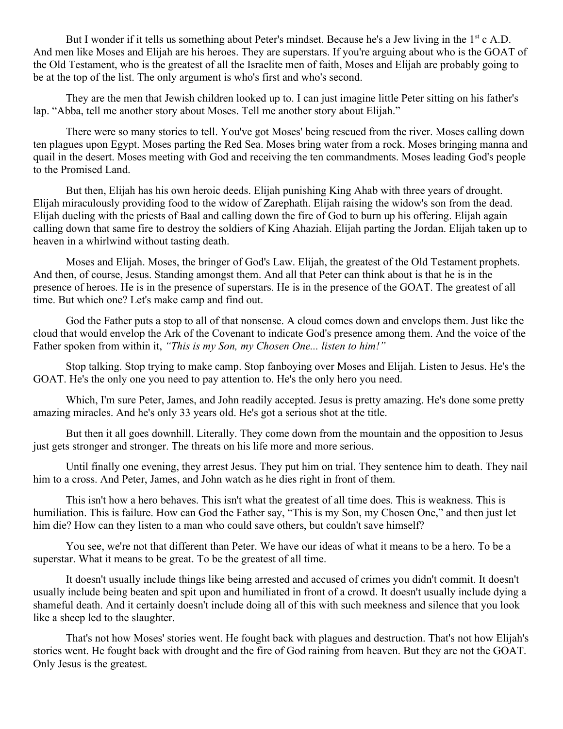But I wonder if it tells us something about Peter's mindset. Because he's a Jew living in the  $1<sup>st</sup>$  c A.D. And men like Moses and Elijah are his heroes. They are superstars. If you're arguing about who is the GOAT of the Old Testament, who is the greatest of all the Israelite men of faith, Moses and Elijah are probably going to be at the top of the list. The only argument is who's first and who's second.

They are the men that Jewish children looked up to. I can just imagine little Peter sitting on his father's lap. "Abba, tell me another story about Moses. Tell me another story about Elijah."

There were so many stories to tell. You've got Moses' being rescued from the river. Moses calling down ten plagues upon Egypt. Moses parting the Red Sea. Moses bring water from a rock. Moses bringing manna and quail in the desert. Moses meeting with God and receiving the ten commandments. Moses leading God's people to the Promised Land.

But then, Elijah has his own heroic deeds. Elijah punishing King Ahab with three years of drought. Elijah miraculously providing food to the widow of Zarephath. Elijah raising the widow's son from the dead. Elijah dueling with the priests of Baal and calling down the fire of God to burn up his offering. Elijah again calling down that same fire to destroy the soldiers of King Ahaziah. Elijah parting the Jordan. Elijah taken up to heaven in a whirlwind without tasting death.

Moses and Elijah. Moses, the bringer of God's Law. Elijah, the greatest of the Old Testament prophets. And then, of course, Jesus. Standing amongst them. And all that Peter can think about is that he is in the presence of heroes. He is in the presence of superstars. He is in the presence of the GOAT. The greatest of all time. But which one? Let's make camp and find out.

God the Father puts a stop to all of that nonsense. A cloud comes down and envelops them. Just like the cloud that would envelop the Ark of the Covenant to indicate God's presence among them. And the voice of the Father spoken from within it, *"This is my Son, my Chosen One... listen to him!"*

Stop talking. Stop trying to make camp. Stop fanboying over Moses and Elijah. Listen to Jesus. He's the GOAT. He's the only one you need to pay attention to. He's the only hero you need.

Which, I'm sure Peter, James, and John readily accepted. Jesus is pretty amazing. He's done some pretty amazing miracles. And he's only 33 years old. He's got a serious shot at the title.

But then it all goes downhill. Literally. They come down from the mountain and the opposition to Jesus just gets stronger and stronger. The threats on his life more and more serious.

Until finally one evening, they arrest Jesus. They put him on trial. They sentence him to death. They nail him to a cross. And Peter, James, and John watch as he dies right in front of them.

This isn't how a hero behaves. This isn't what the greatest of all time does. This is weakness. This is humiliation. This is failure. How can God the Father say, "This is my Son, my Chosen One," and then just let him die? How can they listen to a man who could save others, but couldn't save himself?

You see, we're not that different than Peter. We have our ideas of what it means to be a hero. To be a superstar. What it means to be great. To be the greatest of all time.

It doesn't usually include things like being arrested and accused of crimes you didn't commit. It doesn't usually include being beaten and spit upon and humiliated in front of a crowd. It doesn't usually include dying a shameful death. And it certainly doesn't include doing all of this with such meekness and silence that you look like a sheep led to the slaughter.

That's not how Moses' stories went. He fought back with plagues and destruction. That's not how Elijah's stories went. He fought back with drought and the fire of God raining from heaven. But they are not the GOAT. Only Jesus is the greatest.